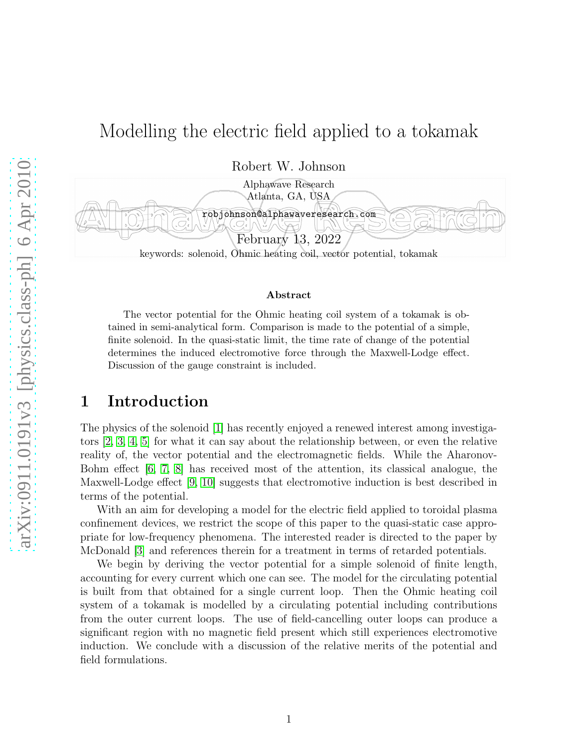# Modelling the electric field applied to a tokamak

Robert W. Johnson



#### Abstract

The vector potential for the Ohmic heating coil system of a tokamak is obtained in semi-analytical form. Comparison is made to the potential of a simple, finite solenoid. In the quasi-static limit, the time rate of change of the potential determines the induced electromotive force through the Maxwell-Lodge effect. Discussion of the gauge constraint is included.

#### 1 Introduction

The physics of the solenoid [\[1\]](#page-10-0) has recently enjoyed a renewed interest among investigators [\[2,](#page-10-1) [3,](#page-10-2) [4,](#page-10-3) [5\]](#page-11-0) for what it can say about the relationship between, or even the relative reality of, the vector potential and the electromagnetic fields. While the Aharonov-Bohm effect [\[6,](#page-11-1) [7,](#page-11-2) [8\]](#page-11-3) has received most of the attention, its classical analogue, the Maxwell-Lodge effect [\[9,](#page-11-4) [10\]](#page-11-5) suggests that electromotive induction is best described in terms of the potential.

With an aim for developing a model for the electric field applied to toroidal plasma confinement devices, we restrict the scope of this paper to the quasi-static case appropriate for low-frequency phenomena. The interested reader is directed to the paper by McDonald [\[3\]](#page-10-2) and references therein for a treatment in terms of retarded potentials.

We begin by deriving the vector potential for a simple solenoid of finite length, accounting for every current which one can see. The model for the circulating potential is built from that obtained for a single current loop. Then the Ohmic heating coil system of a tokamak is modelled by a circulating potential including contributions from the outer current loops. The use of field-cancelling outer loops can produce a significant region with no magnetic field present which still experiences electromotive induction. We conclude with a discussion of the relative merits of the potential and field formulations.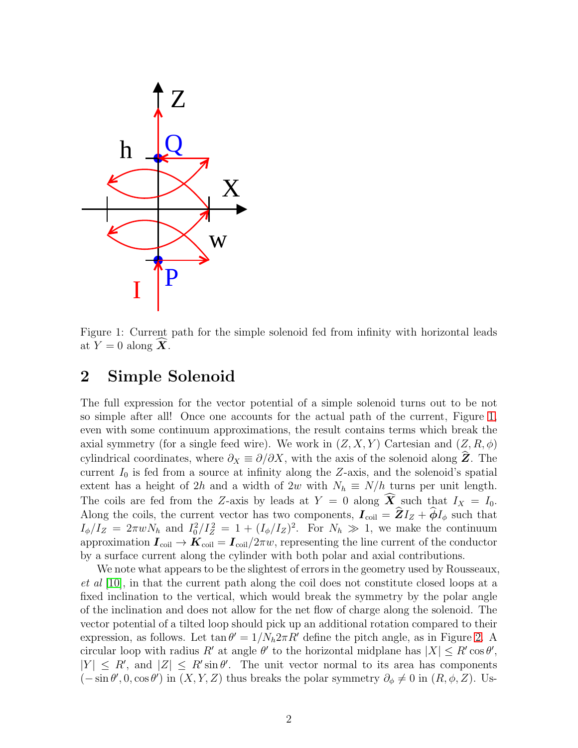

<span id="page-1-0"></span>Figure 1: Current path for the simple solenoid fed from infinity with horizontal leads at  $Y = 0$  along  $X$ .

#### 2 Simple Solenoid

The full expression for the vector potential of a simple solenoid turns out to be not so simple after all! Once one accounts for the actual path of the current, Figure [1,](#page-1-0) even with some continuum approximations, the result contains terms which break the axial symmetry (for a single feed wire). We work in  $(Z, X, Y)$  Cartesian and  $(Z, R, \phi)$ cylindrical coordinates, where  $\partial_X \equiv \partial/\partial X$ , with the axis of the solenoid along  $\hat{Z}$ . The current  $I_0$  is fed from a source at infinity along the Z-axis, and the solenoid's spatial extent has a height of 2h and a width of 2w with  $N_h \equiv N/h$  turns per unit length. The coils are fed from the Z-axis by leads at  $Y = 0$  along  $\widehat{X}$  such that  $I_X = I_0$ . Along the coils, the current vector has two components,  $I_{\text{coil}} = \hat{Z}I_Z + \hat{\phi}I_{\phi}$  such that  $I_{\phi}/I_Z = 2\pi w N_h$  and  $I_0^2/I_Z^2 = 1 + (I_{\phi}/I_Z)^2$ . For  $N_h \gg 1$ , we make the continuum approximation  $I_{\text{coil}} \to K_{\text{coil}} = I_{\text{coil}}/2\pi w$ , representing the line current of the conductor by a surface current along the cylinder with both polar and axial contributions.

We note what appears to be the slightest of errors in the geometry used by Rousseaux, *et al* [\[10\]](#page-11-5), in that the current path along the coil does not constitute closed loops at a fixed inclination to the vertical, which would break the symmetry by the polar angle of the inclination and does not allow for the net flow of charge along the solenoid. The vector potential of a tilted loop should pick up an additional rotation compared to their expression, as follows. Let  $\tan \theta' = 1/N_h 2\pi R'$  define the pitch angle, as in Figure [2.](#page-2-0) A circular loop with radius R' at angle  $\theta'$  to the horizontal midplane has  $|X| \leq R' \cos \theta'$ ,  $|Y| \leq R'$ , and  $|Z| \leq R' \sin \theta'$ . The unit vector normal to its area has components  $(-\sin \theta', 0, \cos \theta')$  in  $(X, Y, Z)$  thus breaks the polar symmetry  $\partial_{\phi} \neq 0$  in  $(R, \phi, Z)$ . Us-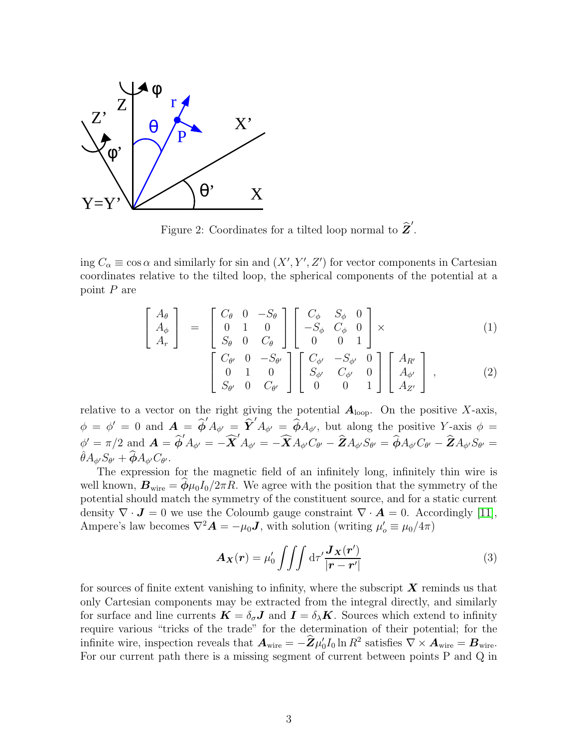

<span id="page-2-0"></span>Figure 2: Coordinates for a tilted loop normal to  $\hat{\mathbf{Z}}'$ .

ing  $C_{\alpha} \equiv \cos \alpha$  and similarly for sin and  $(X', Y', Z')$  for vector components in Cartesian coordinates relative to the tilted loop, the spherical components of the potential at a point P are

$$
\begin{bmatrix}\nA_{\theta} \\
A_{\phi} \\
A_{r}\n\end{bmatrix} = \begin{bmatrix}\nC_{\theta} & 0 & -S_{\theta} \\
0 & 1 & 0 \\
S_{\theta} & 0 & C_{\theta}\n\end{bmatrix} \begin{bmatrix}\nC_{\phi} & S_{\phi} & 0 \\
-S_{\phi} & C_{\phi} & 0 \\
0 & 0 & 1\n\end{bmatrix} \times
$$
\n(1)

$$
\begin{bmatrix}\nC_{\theta'} & 0 & -S_{\theta'} \\
0 & 1 & 0 \\
S_{\theta'} & 0 & C_{\theta'}\n\end{bmatrix}\n\begin{bmatrix}\nC_{\phi'} & -S_{\phi'} & 0 \\
S_{\phi'} & C_{\phi'} & 0 \\
0 & 0 & 1\n\end{bmatrix}\n\begin{bmatrix}\nA_{R'} \\
A_{\phi'} \\
A_{Z'}\n\end{bmatrix},
$$
\n(2)

relative to a vector on the right giving the potential  $A_{\text{loop}}$ . On the positive X-axis,  $\phi = \phi' = 0$  and  $\mathbf{A} = \hat{\phi}' A_{\phi'} = \hat{\mathbf{Y}}' A_{\phi'} = \hat{\phi} A_{\phi'}$ , but along the positive Y-axis  $\phi =$  $\hat{\phi}' = \pi/2 \text{ and } \boldsymbol{A} = \boldsymbol{\widehat{\phi}}' A_{\phi'} = -\boldsymbol{\widehat{X}}' A_{\phi'} = -\boldsymbol{\widehat{X}}' A_{\phi'} C_{\theta'} - \boldsymbol{\widehat{Z}} A_{\phi'} S_{\theta'} = \boldsymbol{\widehat{\phi}} A_{\phi'} C_{\theta'} - \boldsymbol{\widehat{Z}} A_{\phi'} S_{\theta'} = 0$  $\hat{\theta} A_{\phi'} S_{\theta'} + \widehat{\boldsymbol{\phi}} A_{\phi'} C_{\theta'}.$ 

The expression for the magnetic field of an infinitely long, infinitely thin wire is well known,  $B_{\text{wire}} = \phi \mu_0 I_0 / 2\pi R$ . We agree with the position that the symmetry of the potential should match the symmetry of the constituent source, and for a static current density  $\nabla \cdot \mathbf{J} = 0$  we use the Coloumb gauge constraint  $\nabla \cdot \mathbf{A} = 0$ . Accordingly [\[11\]](#page-11-6), Ampere's law becomes  $\nabla^2 \mathbf{A} = -\mu_0 \mathbf{J}$ , with solution (writing  $\mu'_o \equiv \mu_0/4\pi$ )

<span id="page-2-1"></span>
$$
\mathbf{A}_{\mathbf{X}}(\mathbf{r}) = \mu_0' \iiint \mathrm{d}\tau' \frac{\mathbf{J}_{\mathbf{X}}(\mathbf{r}')}{|\mathbf{r} - \mathbf{r}'|}
$$
(3)

for sources of finite extent vanishing to infinity, where the subscript  $\boldsymbol{X}$  reminds us that only Cartesian components may be extracted from the integral directly, and similarly for surface and line currents  $\mathbf{K} = \delta_{\sigma} \mathbf{J}$  and  $\mathbf{I} = \delta_{\lambda} \mathbf{K}$ . Sources which extend to infinity require various "tricks of the trade" for the determination of their potential; for the infinite wire, inspection reveals that  $\boldsymbol{A}_{\text{wire}} = -\boldsymbol{\hat{Z}} \mu'_{\text{(}}$  $\int_0^t I_0 \ln R^2 \; \text{satisfies} \; \nabla \times \boldsymbol{A}_{\text{wire}} = \boldsymbol{B}_{\text{wire}}.$ For our current path there is a missing segment of current between points P and Q in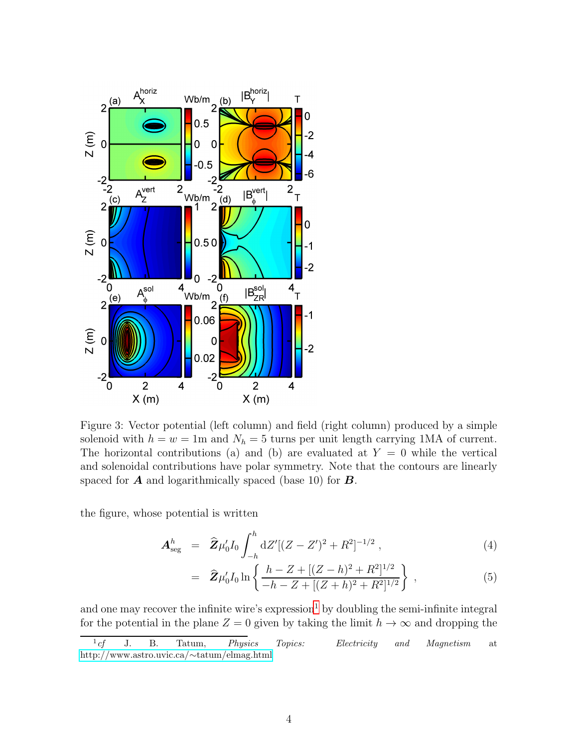

<span id="page-3-1"></span>Figure 3: Vector potential (left column) and field (right column) produced by a simple solenoid with  $h = w = 1$ m and  $N_h = 5$  turns per unit length carrying 1MA of current. The horizontal contributions (a) and (b) are evaluated at  $Y = 0$  while the vertical and solenoidal contributions have polar symmetry. Note that the contours are linearly spaced for  $\boldsymbol{A}$  and logarithmically spaced (base 10) for  $\boldsymbol{B}$ .

the figure, whose potential is written

$$
\mathbf{A}^h_{\text{seg}} = \widehat{\mathbf{Z}} \mu_0' I_0 \int_{-h}^h dZ' [(Z - Z')^2 + R^2]^{-1/2} , \qquad (4)
$$

$$
= \hat{\mathbf{Z}}\mu_0' I_0 \ln \left\{ \frac{h - Z + [(Z - h)^2 + R^2]^{1/2}}{-h - Z + [(Z + h)^2 + R^2]^{1/2}} \right\}, \qquad (5)
$$

and one may recover the infinite wire's expression<sup>[1](#page-3-0)</sup> by doubling the semi-infinite integral for the potential in the plane  $Z = 0$  given by taking the limit  $h \to \infty$  and dropping the

<span id="page-3-0"></span> $1 \text{ } cf$ J. B. Tatum, *Physics Topics: Electricity and Magnetism* at [http://www.astro.uvic.ca/](http://www.astro.uvic.ca/~tatum/elmag.html)∼tatum/elmag.html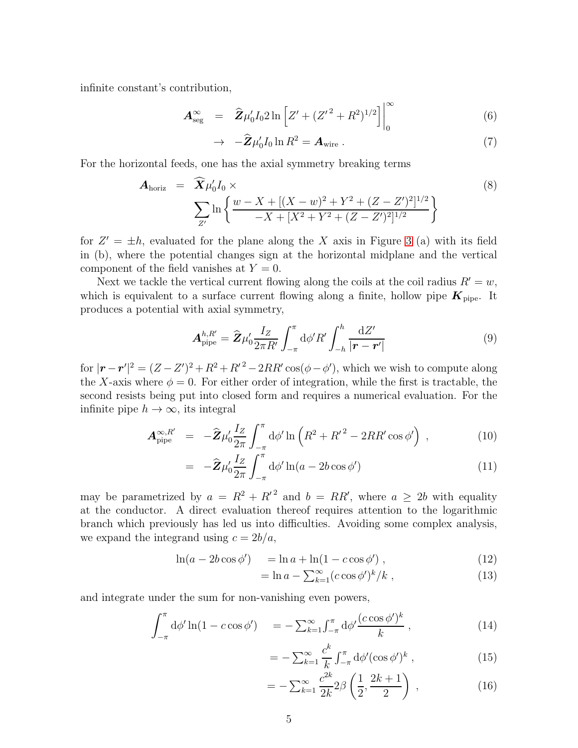infinite constant's contribution,

$$
\mathbf{A}^{\infty}_{\text{seg}} = \hat{\mathbf{Z}} \mu_0 I_0 2 \ln \left[ Z' + (Z'^2 + R^2)^{1/2} \right] \Big|_0^{\infty} \tag{6}
$$

$$
\rightarrow -\hat{\mathbf{Z}}\mu_0'I_0 \ln R^2 = \mathbf{A}_{\text{wire}}.
$$
\n(7)

For the horizontal feeds, one has the axial symmetry breaking terms

$$
\mathbf{A}_{\text{horiz}} = \widehat{\mathbf{X}} \mu_0' I_0 \times \n\sum_{Z'} \ln \left\{ \frac{w - X + [(X - w)^2 + Y^2 + (Z - Z')^2]^{1/2}}{-X + [X^2 + Y^2 + (Z - Z')^2]^{1/2}} \right\}
$$
\n(8)

for  $Z' = \pm h$ , evaluated for the plane along the X axis in Figure [3](#page-3-1) (a) with its field in (b), where the potential changes sign at the horizontal midplane and the vertical component of the field vanishes at  $Y = 0$ .

Next we tackle the vertical current flowing along the coils at the coil radius  $R' = w$ , which is equivalent to a surface current flowing along a finite, hollow pipe  $K_{\text{pipe}}$ . It produces a potential with axial symmetry,

$$
\mathbf{A}_{\text{pipe}}^{h,R'} = \hat{\mathbf{Z}} \mu_0' \frac{I_Z}{2\pi R'} \int_{-\pi}^{\pi} d\phi' R' \int_{-h}^{h} \frac{dZ'}{|\mathbf{r} - \mathbf{r}'|}
$$
(9)

for  $|\mathbf{r} - \mathbf{r}'|^2 = (Z - Z')^2 + R^2 + R'^2 - 2RR'\cos(\phi - \phi')$ , which we wish to compute along the X-axis where  $\phi = 0$ . For either order of integration, while the first is tractable, the second resists being put into closed form and requires a numerical evaluation. For the infinite pipe  $h \to \infty$ , its integral

$$
\mathbf{A}_{\text{pipe}}^{\infty,R'} = -\widehat{\mathbf{Z}}\mu_0' \frac{I_Z}{2\pi} \int_{-\pi}^{\pi} d\phi' \ln\left(R^2 + {R'}^2 - 2RR'\cos\phi'\right) ,\qquad (10)
$$

$$
= -\hat{\mathbf{Z}}\mu_0' \frac{I_Z}{2\pi} \int_{-\pi}^{\pi} d\phi' \ln(a - 2b\cos\phi') \tag{11}
$$

may be parametrized by  $a = R^2 + R'^2$  and  $b = RR'$ , where  $a \geq 2b$  with equality at the conductor. A direct evaluation thereof requires attention to the logarithmic branch which previously has led us into difficulties. Avoiding some complex analysis, we expand the integrand using  $c = 2b/a$ ,

$$
\ln(a - 2b\cos\phi') = \ln a + \ln(1 - c\cos\phi') , \qquad (12)
$$

$$
= \ln a - \sum_{k=1}^{\infty} (c \cos \phi')^k / k \tag{13}
$$

and integrate under the sum for non-vanishing even powers,

$$
\int_{-\pi}^{\pi} d\phi' \ln(1 - c \cos \phi') = -\sum_{k=1}^{\infty} \int_{-\pi}^{\pi} d\phi' \frac{(c \cos \phi')^k}{k} , \qquad (14)
$$

$$
= -\sum_{k=1}^{\infty} \frac{c^k}{k} \int_{-\pi}^{\pi} d\phi' (\cos \phi')^k , \qquad (15)
$$

$$
= -\sum_{k=1}^{\infty} \frac{c^{2k}}{2k} 2\beta \left(\frac{1}{2}, \frac{2k+1}{2}\right) , \qquad (16)
$$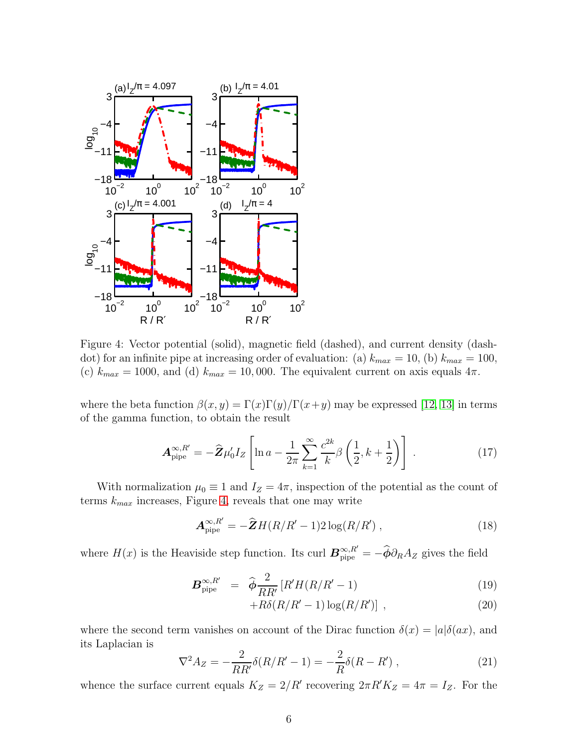

<span id="page-5-0"></span>Figure 4: Vector potential (solid), magnetic field (dashed), and current density (dashdot) for an infinite pipe at increasing order of evaluation: (a)  $k_{max} = 10$ , (b)  $k_{max} = 100$ , (c)  $k_{max} = 1000$ , and (d)  $k_{max} = 10,000$ . The equivalent current on axis equals  $4\pi$ .

where the beta function  $\beta(x, y) = \Gamma(x)\Gamma(y)/\Gamma(x+y)$  may be expressed [\[12,](#page-11-7) [13\]](#page-11-8) in terms of the gamma function, to obtain the result

$$
\mathbf{A}_{\text{pipe}}^{\infty,R'} = -\hat{\mathbf{Z}}\mu_0'I_Z \left[ \ln a - \frac{1}{2\pi} \sum_{k=1}^{\infty} \frac{c^{2k}}{k} \beta \left( \frac{1}{2}, k + \frac{1}{2} \right) \right] \,. \tag{17}
$$

With normalization  $\mu_0 \equiv 1$  and  $I_Z = 4\pi$ , inspection of the potential as the count of terms  $k_{max}$  increases, Figure [4,](#page-5-0) reveals that one may write

$$
\mathbf{A}_{\text{pipe}}^{\infty,R'} = -\hat{\mathbf{Z}}H(R/R'-1)2\log(R/R')\,,\tag{18}
$$

where  $H(x)$  is the Heaviside step function. Its curl  $\mathbf{B}_{\text{pipe}}^{\infty,R'} = -\widehat{\boldsymbol{\phi}} \partial_R A_Z$  gives the field

$$
\boldsymbol{B}_{\text{pipe}}^{\infty,R'} = \widehat{\boldsymbol{\phi}} \frac{2}{RR'} \left[ R'H(R/R'-1) \right] \tag{19}
$$

$$
+R\delta(R/R'-1)\log(R/R')]
$$
, (20)

where the second term vanishes on account of the Dirac function  $\delta(x) = |a| \delta(ax)$ , and its Laplacian is

$$
\nabla^2 A_Z = -\frac{2}{RR'} \delta(R/R' - 1) = -\frac{2}{R} \delta(R - R') , \qquad (21)
$$

whence the surface current equals  $K_Z = 2/R'$  recovering  $2\pi R'K_Z = 4\pi = I_Z$ . For the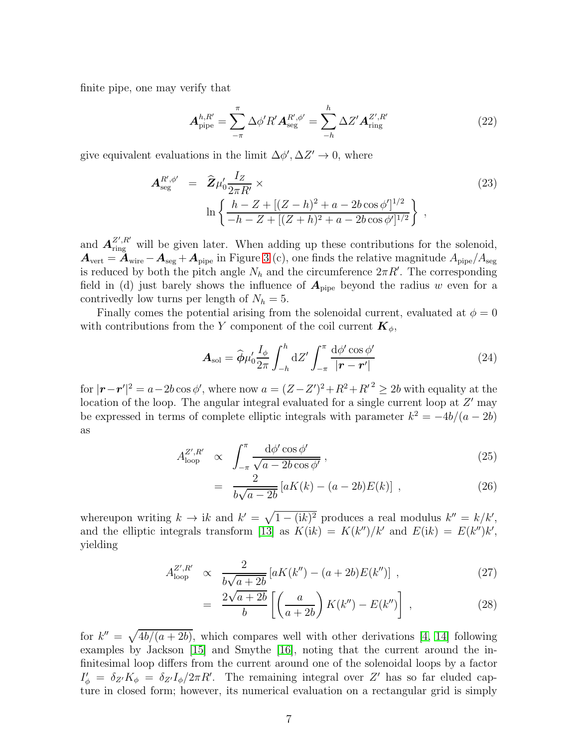finite pipe, one may verify that

<span id="page-6-0"></span>
$$
\mathbf{A}_{\text{pipe}}^{h,R'} = \sum_{-\pi}^{\pi} \Delta \phi' R' \mathbf{A}_{\text{seg}}^{R',\phi'} = \sum_{-h}^{h} \Delta Z' \mathbf{A}_{\text{ring}}^{Z',R'} \tag{22}
$$

give equivalent evaluations in the limit  $\Delta \phi', \Delta Z' \to 0$ , where

$$
\mathbf{A}_{\text{seg}}^{R',\phi'} = \hat{\mathbf{Z}} \mu_0' \frac{I_Z}{2\pi R'} \times \ln\left\{ \frac{h - Z + [(Z - h)^2 + a - 2b \cos \phi']^{1/2}}{-h - Z + [(Z + h)^2 + a - 2b \cos \phi']^{1/2}} \right\},
$$
\n(23)

and  $A_{\text{ring}}^{Z',R'}$  will be given later. When adding up these contributions for the solenoid,  $A_{\text{vert}} = A_{\text{wire}} - A_{\text{seg}} + A_{\text{pipe}}$  in Figure [3](#page-3-1) (c), one finds the relative magnitude  $A_{\text{pipe}}/A_{\text{seg}}$ is reduced by both the pitch angle  $N_h$  and the circumference  $2\pi R'$ . The corresponding field in (d) just barely shows the influence of  $A_{\text{pipe}}$  beyond the radius w even for a contrivedly low turns per length of  $N_h = 5$ .

Finally comes the potential arising from the solenoidal current, evaluated at  $\phi = 0$ with contributions from the Y component of the coil current  $\mathbf{K}_{\phi}$ ,

$$
\mathbf{A}_{sol} = \hat{\boldsymbol{\phi}} \mu_0' \frac{I_{\phi}}{2\pi} \int_{-h}^{h} dZ' \int_{-\pi}^{\pi} \frac{d\phi' \cos \phi'}{|\mathbf{r} - \mathbf{r}'|}
$$
(24)

for  $|\mathbf{r} - \mathbf{r}'|^2 = a - 2b \cos \phi'$ , where now  $a = (Z - Z')^2 + R^2 + R'^2 \ge 2b$  with equality at the location of the loop. The angular integral evaluated for a single current loop at  $Z'$  may be expressed in terms of complete elliptic integrals with parameter  $k^2 = -4b/(a - 2b)$ as

$$
A_{\text{loop}}^{\mathbb{Z}',R'} \propto \int_{-\pi}^{\pi} \frac{\mathrm{d}\phi'\cos\phi'}{\sqrt{a-2b\cos\phi'}},\tag{25}
$$

$$
= \frac{2}{b\sqrt{a-2b}} \left[ aK(k) - (a-2b)E(k) \right] , \qquad (26)
$$

whereupon writing  $k \to ik$  and  $k' = \sqrt{1 - (ik)^2}$  produces a real modulus  $k'' = k/k'$ , and the elliptic integrals transform [\[13\]](#page-11-8) as  $K(ik) = K(k'')/k'$  and  $E(ik) = E(k'')k'$ , yielding

$$
A_{\text{loop}}^{Z',R'} \propto \frac{2}{b\sqrt{a+2b}} \left[ aK(k'') - (a+2b)E(k'') \right] , \qquad (27)
$$

$$
= \frac{2\sqrt{a+2b}}{b} \left[ \left( \frac{a}{a+2b} \right) K(k'') - E(k'') \right], \qquad (28)
$$

for  $k'' = \sqrt{\frac{4b}{(a + 2b)}}$ , which compares well with other derivations [\[4,](#page-10-3) [14\]](#page-11-9) following examples by Jackson [\[15\]](#page-11-10) and Smythe [\[16\]](#page-11-11), noting that the current around the infinitesimal loop differs from the current around one of the solenoidal loops by a factor  $I'_\phi = \delta_{Z'} K_\phi = \delta_{Z'} I_\phi / 2\pi R'$ . The remaining integral over Z' has so far eluded capture in closed form; however, its numerical evaluation on a rectangular grid is simply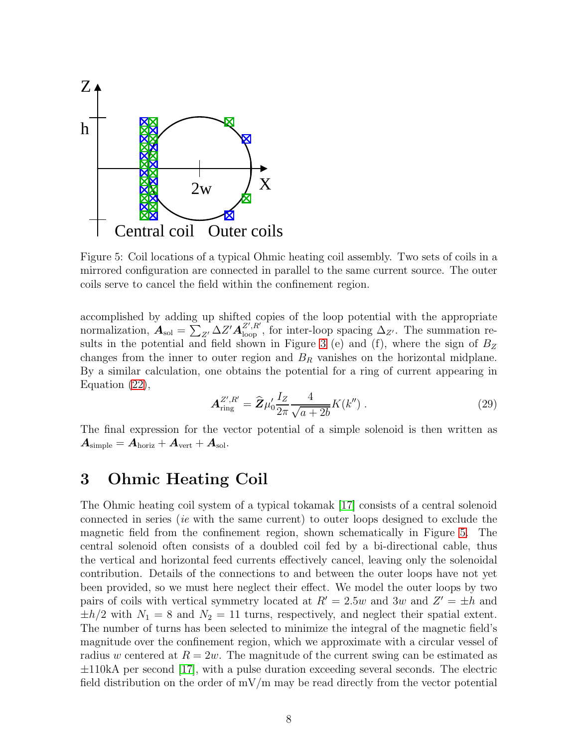

<span id="page-7-0"></span>Figure 5: Coil locations of a typical Ohmic heating coil assembly. Two sets of coils in a mirrored configuration are connected in parallel to the same current source. The outer coils serve to cancel the field within the confinement region.

accomplished by adding up shifted copies of the loop potential with the appropriate normalization,  $A_{sol} = \sum_{Z'}^{\mathbf{S}} \Delta Z' A_{loop}^{Z', R'}$ , for inter-loop spacing  $\Delta_{Z'}$ . The summation re-sults in the potential and field shown in Figure [3](#page-3-1) (e) and (f), where the sign of  $B_Z$ changes from the inner to outer region and  $B_R$  vanishes on the horizontal midplane. By a similar calculation, one obtains the potential for a ring of current appearing in Equation [\(22\)](#page-6-0),

$$
\mathbf{A}_{\rm ring}^{Z',R'} = \hat{\mathbf{Z}} \mu_0' \frac{I_Z}{2\pi} \frac{4}{\sqrt{a+2b}} K(k'') . \tag{29}
$$

The final expression for the vector potential of a simple solenoid is then written as  $\boldsymbol{A}_{\rm simple} = \boldsymbol{A}_{\rm horiz} + \boldsymbol{A}_{\rm vert} + \boldsymbol{A}_{\rm sol}.$ 

#### 3 Ohmic Heating Coil

The Ohmic heating coil system of a typical tokamak [\[17\]](#page-11-12) consists of a central solenoid connected in series (*ie* with the same current) to outer loops designed to exclude the magnetic field from the confinement region, shown schematically in Figure [5.](#page-7-0) The central solenoid often consists of a doubled coil fed by a bi-directional cable, thus the vertical and horizontal feed currents effectively cancel, leaving only the solenoidal contribution. Details of the connections to and between the outer loops have not yet been provided, so we must here neglect their effect. We model the outer loops by two pairs of coils with vertical symmetry located at  $R' = 2.5w$  and  $3w$  and  $Z' = \pm h$  and  $\pm h/2$  with  $N_1 = 8$  and  $N_2 = 11$  turns, respectively, and neglect their spatial extent. The number of turns has been selected to minimize the integral of the magnetic field's magnitude over the confinement region, which we approximate with a circular vessel of radius w centered at  $R = 2w$ . The magnitude of the current swing can be estimated as  $\pm 110kA$  per second [\[17\]](#page-11-12), with a pulse duration exceeding several seconds. The electric field distribution on the order of  $mV/m$  may be read directly from the vector potential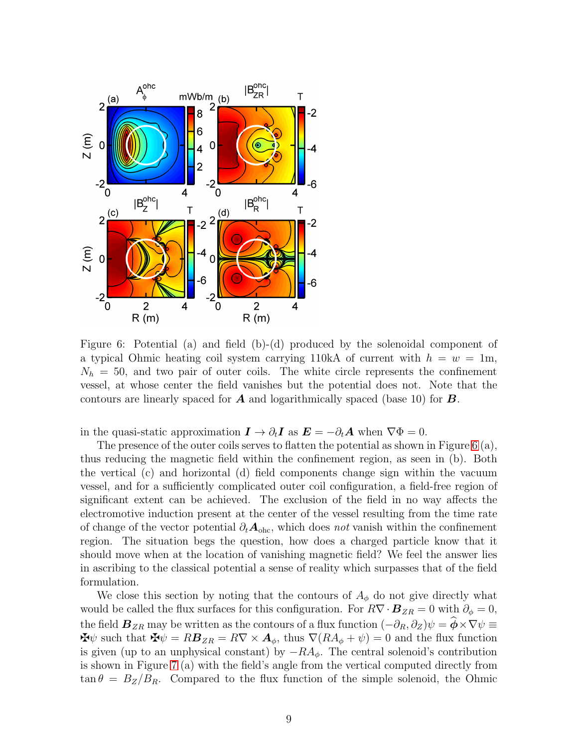

<span id="page-8-0"></span>Figure 6: Potential (a) and field (b)-(d) produced by the solenoidal component of a typical Ohmic heating coil system carrying 110kA of current with  $h = w = 1m$ ,  $N_h = 50$ , and two pair of outer coils. The white circle represents the confinement vessel, at whose center the field vanishes but the potential does not. Note that the contours are linearly spaced for  $\boldsymbol{A}$  and logarithmically spaced (base 10) for  $\boldsymbol{B}$ .

in the quasi-static approximation  $\mathbf{I} \to \partial_t \mathbf{I}$  as  $\mathbf{E} = -\partial_t \mathbf{A}$  when  $\nabla \Phi = 0$ .

The presence of the outer coils serves to flatten the potential as shown in Figure [6](#page-8-0) (a), thus reducing the magnetic field within the confinement region, as seen in (b). Both the vertical (c) and horizontal (d) field components change sign within the vacuum vessel, and for a sufficiently complicated outer coil configuration, a field-free region of significant extent can be achieved. The exclusion of the field in no way affects the electromotive induction present at the center of the vessel resulting from the time rate of change of the vector potential  $\partial_t A_{\text{ohc}}$ , which does *not* vanish within the confinement region. The situation begs the question, how does a charged particle know that it should move when at the location of vanishing magnetic field? We feel the answer lies in ascribing to the classical potential a sense of reality which surpasses that of the field formulation.

We close this section by noting that the contours of  $A_{\phi}$  do not give directly what would be called the flux surfaces for this configuration. For  $R\nabla \cdot \mathbf{B}_{ZR} = 0$  with  $\partial_{\phi} = 0$ , the field  $\mathbf{B}_{ZR}$  may be written as the contours of a flux function  $(-\partial_R, \partial_Z)\psi = \phi \times \nabla \psi \equiv$  $\mathbf{\mathbf{\mathbf{\Phi}}}\psi$  such that  $\mathbf{\mathbf{\Phi}}\psi = R\mathbf{B}_{ZR} = R\nabla \times \mathbf{A}_{\phi}$ , thus  $\nabla (R A_{\phi} + \psi) = 0$  and the flux function is given (up to an unphysical constant) by  $-RA_{\phi}$ . The central solenoid's contribution is shown in Figure [7](#page-9-0) (a) with the field's angle from the vertical computed directly from  $\tan \theta = B_Z/B_R$ . Compared to the flux function of the simple solenoid, the Ohmic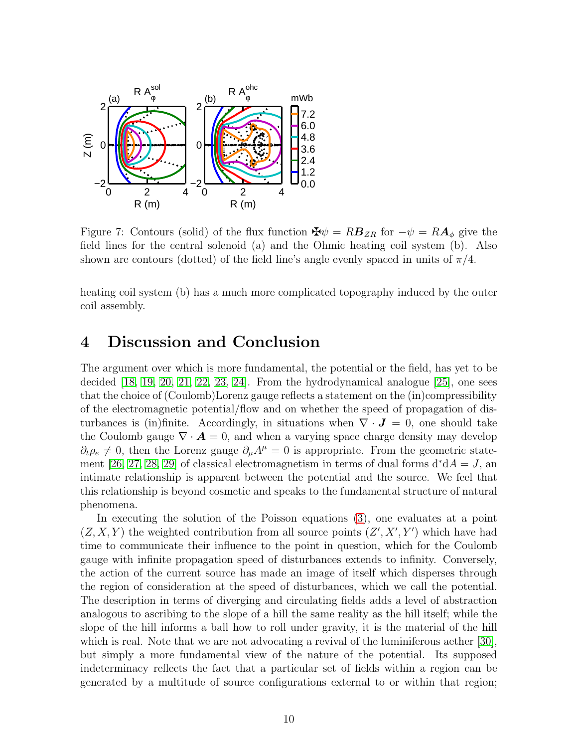

<span id="page-9-0"></span>Figure 7: Contours (solid) of the flux function  $\mathbf{\Psi}\psi = R\mathbf{B}_{ZR}$  for  $-\psi = R\mathbf{A}_{\phi}$  give the field lines for the central solenoid (a) and the Ohmic heating coil system (b). Also shown are contours (dotted) of the field line's angle evenly spaced in units of  $\pi/4$ .

heating coil system (b) has a much more complicated topography induced by the outer coil assembly.

#### 4 Discussion and Conclusion

The argument over which is more fundamental, the potential or the field, has yet to be decided [\[18,](#page-11-13) [19,](#page-11-14) [20,](#page-11-15) [21,](#page-12-0) [22,](#page-12-1) [23,](#page-12-2) [24\]](#page-12-3). From the hydrodynamical analogue [\[25\]](#page-12-4), one sees that the choice of (Coulomb)Lorenz gauge reflects a statement on the (in)compressibility of the electromagnetic potential/flow and on whether the speed of propagation of disturbances is (in)finite. Accordingly, in situations when  $\nabla \cdot \mathbf{J} = 0$ , one should take the Coulomb gauge  $\nabla \cdot \mathbf{A} = 0$ , and when a varying space charge density may develop  $\partial_t \rho_e \neq 0$ , then the Lorenz gauge  $\partial_\mu A^\mu = 0$  is appropriate. From the geometric state-ment [\[26,](#page-12-5) [27,](#page-12-6) [28,](#page-12-7) [29\]](#page-12-8) of classical electromagnetism in terms of dual forms  $d^*dA = J$ , an intimate relationship is apparent between the potential and the source. We feel that this relationship is beyond cosmetic and speaks to the fundamental structure of natural phenomena.

In executing the solution of the Poisson equations [\(3\)](#page-2-1), one evaluates at a point  $(Z, X, Y)$  the weighted contribution from all source points  $(Z', X', Y')$  which have had time to communicate their influence to the point in question, which for the Coulomb gauge with infinite propagation speed of disturbances extends to infinity. Conversely, the action of the current source has made an image of itself which disperses through the region of consideration at the speed of disturbances, which we call the potential. The description in terms of diverging and circulating fields adds a level of abstraction analogous to ascribing to the slope of a hill the same reality as the hill itself; while the slope of the hill informs a ball how to roll under gravity, it is the material of the hill which is real. Note that we are not advocating a revival of the luminiferous aether [\[30\]](#page-12-9), but simply a more fundamental view of the nature of the potential. Its supposed indeterminacy reflects the fact that a particular set of fields within a region can be generated by a multitude of source configurations external to or within that region;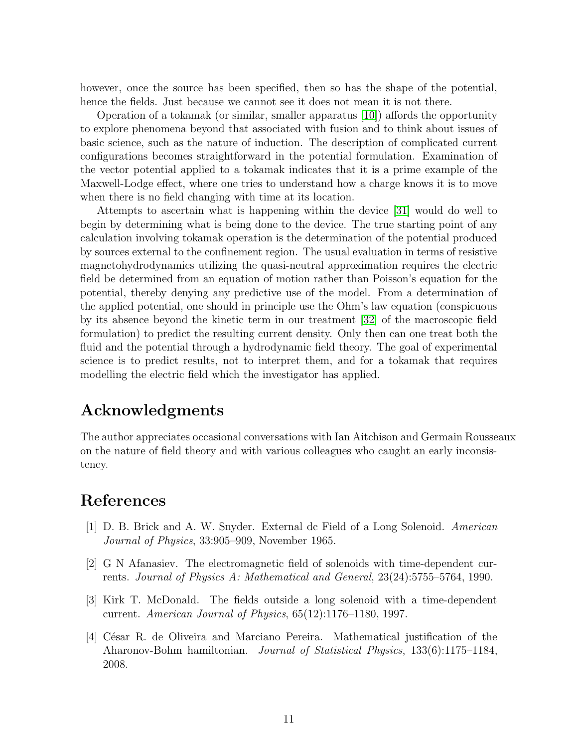however, once the source has been specified, then so has the shape of the potential, hence the fields. Just because we cannot see it does not mean it is not there.

Operation of a tokamak (or similar, smaller apparatus [\[10\]](#page-11-5)) affords the opportunity to explore phenomena beyond that associated with fusion and to think about issues of basic science, such as the nature of induction. The description of complicated current configurations becomes straightforward in the potential formulation. Examination of the vector potential applied to a tokamak indicates that it is a prime example of the Maxwell-Lodge effect, where one tries to understand how a charge knows it is to move when there is no field changing with time at its location.

Attempts to ascertain what is happening within the device [\[31\]](#page-12-10) would do well to begin by determining what is being done to the device. The true starting point of any calculation involving tokamak operation is the determination of the potential produced by sources external to the confinement region. The usual evaluation in terms of resistive magnetohydrodynamics utilizing the quasi-neutral approximation requires the electric field be determined from an equation of motion rather than Poisson's equation for the potential, thereby denying any predictive use of the model. From a determination of the applied potential, one should in principle use the Ohm's law equation (conspicuous by its absence beyond the kinetic term in our treatment [\[32\]](#page-12-11) of the macroscopic field formulation) to predict the resulting current density. Only then can one treat both the fluid and the potential through a hydrodynamic field theory. The goal of experimental science is to predict results, not to interpret them, and for a tokamak that requires modelling the electric field which the investigator has applied.

## Acknowledgments

The author appreciates occasional conversations with Ian Aitchison and Germain Rousseaux on the nature of field theory and with various colleagues who caught an early inconsistency.

### <span id="page-10-0"></span>References

- [1] D. B. Brick and A. W. Snyder. External dc Field of a Long Solenoid. *American Journal of Physics*, 33:905–909, November 1965.
- <span id="page-10-1"></span>[2] G N Afanasiev. The electromagnetic field of solenoids with time-dependent currents. *Journal of Physics A: Mathematical and General*, 23(24):5755–5764, 1990.
- <span id="page-10-2"></span>[3] Kirk T. McDonald. The fields outside a long solenoid with a time-dependent current. *American Journal of Physics*, 65(12):1176–1180, 1997.
- <span id="page-10-3"></span>[4] César R. de Oliveira and Marciano Pereira. Mathematical justification of the Aharonov-Bohm hamiltonian. *Journal of Statistical Physics*, 133(6):1175–1184, 2008.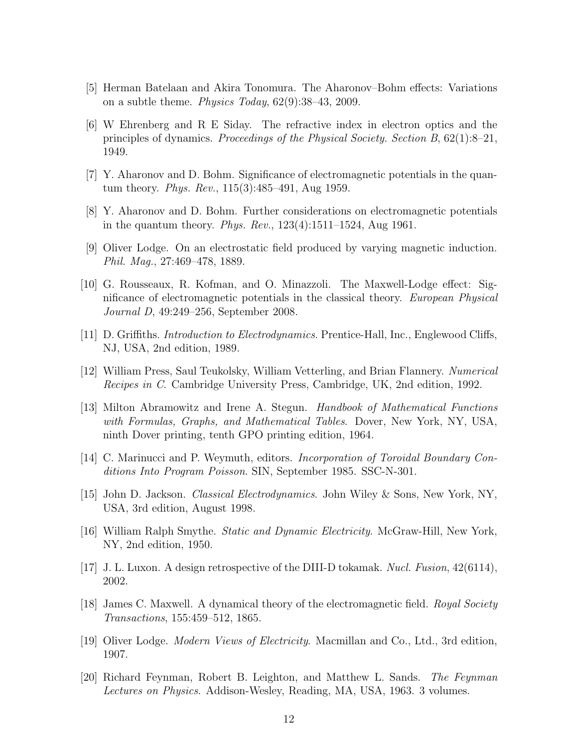- <span id="page-11-1"></span><span id="page-11-0"></span>[5] Herman Batelaan and Akira Tonomura. The Aharonov–Bohm effects: Variations on a subtle theme. *Physics Today*, 62(9):38–43, 2009.
- [6] W Ehrenberg and R E Siday. The refractive index in electron optics and the principles of dynamics. *Proceedings of the Physical Society. Section B*, 62(1):8–21, 1949.
- <span id="page-11-3"></span><span id="page-11-2"></span>[7] Y. Aharonov and D. Bohm. Significance of electromagnetic potentials in the quantum theory. *Phys. Rev.*, 115(3):485–491, Aug 1959.
- <span id="page-11-4"></span>[8] Y. Aharonov and D. Bohm. Further considerations on electromagnetic potentials in the quantum theory. *Phys. Rev.*, 123(4):1511–1524, Aug 1961.
- <span id="page-11-5"></span>[9] Oliver Lodge. On an electrostatic field produced by varying magnetic induction. *Phil. Mag.*, 27:469–478, 1889.
- [10] G. Rousseaux, R. Kofman, and O. Minazzoli. The Maxwell-Lodge effect: Significance of electromagnetic potentials in the classical theory. *European Physical Journal D*, 49:249–256, September 2008.
- <span id="page-11-7"></span><span id="page-11-6"></span>[11] D. Griffiths. *Introduction to Electrodynamics*. Prentice-Hall, Inc., Englewood Cliffs, NJ, USA, 2nd edition, 1989.
- <span id="page-11-8"></span>[12] William Press, Saul Teukolsky, William Vetterling, and Brian Flannery. *Numerical Recipes in C*. Cambridge University Press, Cambridge, UK, 2nd edition, 1992.
- [13] Milton Abramowitz and Irene A. Stegun. *Handbook of Mathematical Functions with Formulas, Graphs, and Mathematical Tables*. Dover, New York, NY, USA, ninth Dover printing, tenth GPO printing edition, 1964.
- <span id="page-11-10"></span><span id="page-11-9"></span>[14] C. Marinucci and P. Weymuth, editors. *Incorporation of Toroidal Boundary Conditions Into Program Poisson*. SIN, September 1985. SSC-N-301.
- <span id="page-11-11"></span>[15] John D. Jackson. *Classical Electrodynamics*. John Wiley & Sons, New York, NY, USA, 3rd edition, August 1998.
- <span id="page-11-12"></span>[16] William Ralph Smythe. *Static and Dynamic Electricity*. McGraw-Hill, New York, NY, 2nd edition, 1950.
- <span id="page-11-13"></span>[17] J. L. Luxon. A design retrospective of the DIII-D tokamak. *Nucl. Fusion*, 42(6114), 2002.
- <span id="page-11-14"></span>[18] James C. Maxwell. A dynamical theory of the electromagnetic field. *Royal Society Transactions*, 155:459–512, 1865.
- <span id="page-11-15"></span>[19] Oliver Lodge. *Modern Views of Electricity*. Macmillan and Co., Ltd., 3rd edition, 1907.
- [20] Richard Feynman, Robert B. Leighton, and Matthew L. Sands. *The Feynman Lectures on Physics*. Addison-Wesley, Reading, MA, USA, 1963. 3 volumes.